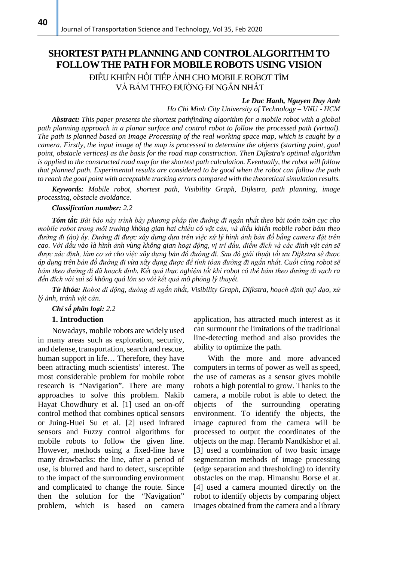# **SHORTEST PATH PLANNING AND CONTROL ALGORITHM TO FOLLOW THE PATH FOR MOBILE ROBOTS USING VISION** ĐIỀU KHIỂN HỒI TIẾP ẢNH CHO MOBILE ROBOT TÌM VÀ BÁM THEO ĐƯỜNG ĐI NGẮN NHẤT

### *Le Duc Hanh, Nguyen Duy Anh*

*Ho Chi Minh City University of Technology – VNU - HCM*

*Abstract: This paper presents the shortest pathfinding algorithm for a mobile robot with a global path planning approach in a planar surface and control robot to follow the processed path (virtual). The path is planned based on Image Processing of the real working space map, which is caught by a camera. Firstly, the input image of the map is processed to determine the objects (starting point, goal point, obstacle vertices) as the basis for the road map construction. Then Dijkstra's optimal algorithm is applied to the constructed road map for the shortest path calculation. Eventually, the robot will follow that planned path. Experimental results are considered to be good when the robot can follow the path to reach the goal point with acceptable tracking errors compared with the theoretical simulation results.*

*Keywords: Mobile robot, shortest path, Visibility Graph, Dijkstra, path planning, image processing, obstacle avoidance.*

#### *Classification number: 2.2*

*Tóm tắt: Bài báo này trình bày phương pháp tìm đường đi ngắn nhất theo bài toán toàn cục cho mobile robot trong môi trường không gian hai chiều có vật cản, và điều khiển mobile robot bám theo*  đường đi (ảo) ấy. Đường đi được xây dựng dựa trên việc xử lý hình ảnh bản đồ bằng camera đặt trên *cao. Với đầu vào là hình ảnh vùng không gian hoạt động, vị trí đầu, điếm đích và các đỉnh vật cản sẽ được xác định, làm cơ sở cho việc xây dựng bản đồ đường đi. Sau đó giải thuật tối ưu Dijkstra sẽ được áp dụng trên bản đồ đường đi vừa xây dựng được để tính tóan đường đi ngắn nhất. Cuối cùng robot sẽ bám theo đường đi đã hoạch định. Kết quả thực nghiệm tốt khi robot có thể bám theo đường đi vạch ra đến đích với sai số không quá lớn so với kết quả mô phỏng lý thuyết.*

*Từ khóa: Robot di động, đường đi ngắn nhất, Visibility Graph, Dijkstra, hoạch định quỹ đạo, xử lý ảnh, tránh vật cản.* 

*Chỉ số phân loại: 2.2*

#### **1. Introduction**

Nowadays, mobile robots are widely used in many areas such as exploration, security, and defense, transportation, search and rescue, human support in life… Therefore, they have been attracting much scientists' interest. The most considerable problem for mobile robot research is "Navigation". There are many approaches to solve this problem. Nakib Hayat Chowdhury et al. [1] used an on-off control method that combines optical sensors or Juing-Huei Su et al. [2] used infrared sensors and Fuzzy control algorithms for mobile robots to follow the given line. However, methods using a fixed-line have many drawbacks: the line, after a period of use, is blurred and hard to detect, susceptible to the impact of the surrounding environment and complicated to change the route. Since then the solution for the "Navigation" problem, which is based on camera

application, has attracted much interest as it can surmount the limitations of the traditional line-detecting method and also provides the ability to optimize the path.

With the more and more advanced computers in terms of power as well as speed, the use of cameras as a sensor gives mobile robots a high potential to grow. Thanks to the camera, a mobile robot is able to detect the objects of the surrounding operating environment. To identify the objects, the image captured from the camera will be processed to output the coordinates of the objects on the map. Heramb Nandkishor et al. [3] used a combination of two basic image segmentation methods of image processing (edge separation and thresholding) to identify obstacles on the map. Himanshu Borse el at. [4] used a camera mounted directly on the robot to identify objects by comparing object images obtained from the camera and a library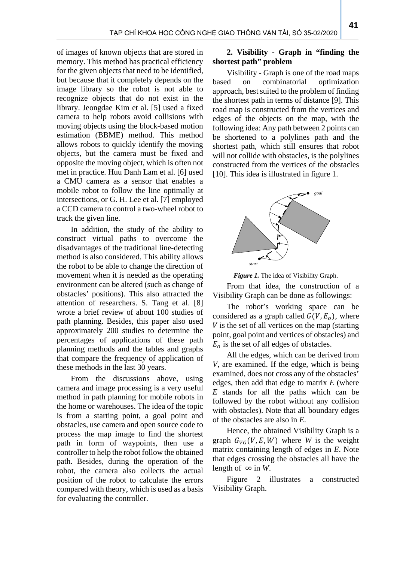of images of known objects that are stored in memory. This method has practical efficiency for the given objects that need to be identified, but because that it completely depends on the image library so the robot is not able to recognize objects that do not exist in the library. Jeongdae Kim et al. [5] used a fixed camera to help robots avoid collisions with moving objects using the block-based motion estimation (BBME) method. This method allows robots to quickly identify the moving objects, but the camera must be fixed and opposite the moving object, which is often not met in practice. Huu Danh Lam et al. [6] used a CMU camera as a sensor that enables a mobile robot to follow the line optimally at intersections, or G. H. Lee et al. [7] employed a CCD camera to control a two-wheel robot to track the given line.

In addition, the study of the ability to construct virtual paths to overcome the disadvantages of the traditional line-detecting method is also considered. This ability allows the robot to be able to change the direction of movement when it is needed as the operating environment can be altered (such as change of obstacles' positions). This also attracted the attention of researchers. S. Tang et al. [8] wrote a brief review of about 100 studies of path planning. Besides, this paper also used approximately 200 studies to determine the percentages of applications of these path planning methods and the tables and graphs that compare the frequency of application of these methods in the last 30 years.

From the discussions above, using camera and image processing is a very useful method in path planning for mobile robots in the home or warehouses. The idea of the topic is from a starting point, a goal point and obstacles, use camera and open source code to process the map image to find the shortest path in form of waypoints, then use a controller to help the robot follow the obtained path. Besides, during the operation of the robot, the camera also collects the actual position of the robot to calculate the errors compared with theory, which is used as a basis for evaluating the controller.

# **2. Visibility - Graph in "finding the shortest path" problem**

Visibility - Graph is one of the road maps based on combinatorial optimization approach, best suited to the problem of finding the shortest path in terms of distance [9]. This road map is constructed from the vertices and edges of the objects on the map, with the following idea: Any path between 2 points can be shortened to a polylines path and the shortest path, which still ensures that robot will not collide with obstacles, is the polylines constructed from the vertices of the obstacles [10]. This idea is illustrated in figure 1.



*Figure 1.* The idea of Visibility Graph.

From that idea, the construction of a Visibility Graph can be done as followings:

The robot's working space can be considered as a graph called  $G(V, E<sub>o</sub>)$ , where  $V$  is the set of all vertices on the map (starting point, goal point and vertices of obstacles) and  $E<sub>o</sub>$  is the set of all edges of obstacles.

All the edges, which can be derived from *V,* are examined. If the edge, which is being examined, does not cross any of the obstacles' edges, then add that edge to matrix *E* (where *E* stands for all the paths which can be followed by the robot without any collision with obstacles). Note that all boundary edges of the obstacles are also in *E*.

Hence, the obtained Visibility Graph is a graph  $G_{VG}(V, E, W)$  where *W* is the weight matrix containing length of edges in *E*. Note that edges crossing the obstacles all have the length of  $\infty$  in W.

Figure 2 illustrates a constructed Visibility Graph.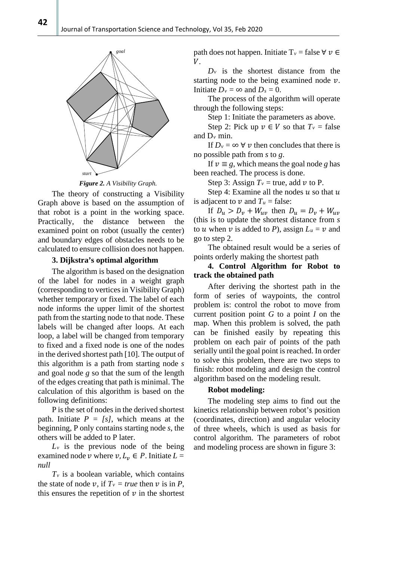

*Figure 2. A Visibility Graph.*

The theory of constructing a Visibility Graph above is based on the assumption of that robot is a point in the working space. Practically, the distance between the examined point on robot (usually the center) and boundary edges of obstacles needs to be calculated to ensure collision does not happen.

### **3. Dijkstra's optimal algorithm**

The algorithm is based on the designation of the label for nodes in a weight graph (corresponding to vertices in Visibility Graph) whether temporary or fixed. The label of each node informs the upper limit of the shortest path from the starting node to that node. These labels will be changed after loops. At each loop, a label will be changed from temporary to fixed and a fixed node is one of the nodes in the derived shortest path [10]. The output of this algorithm is a path from starting node *s* and goal node *g* so that the sum of the length of the edges creating that path is minimal. The calculation of this algorithm is based on the following definitions:

P is the set of nodes in the derived shortest path. Initiate *P = [s]*, which means at the beginning, P only contains starting node *s*, the others will be added to P later.

 $L_v$  is the previous node of the being examined node v where  $v, L_v \in P$ . Initiate  $L =$ *null*

 $T_v$  is a boolean variable, which contains the state of node v, if  $T_v = true$  then v is in P, this ensures the repetition of  $\nu$  in the shortest path does not happen. Initiate  $T_v$  = false  $\forall v \in$  $V_{\cdot}$ 

 $D<sub>v</sub>$  is the shortest distance from the starting node to the being examined node  $\nu$ . Initiate  $D_v = \infty$  and  $D_s = 0$ .

The process of the algorithm will operate through the following steps:

Step 1: Initiate the parameters as above.

Step 2: Pick up  $v \in V$  so that  $T_v$  = false and  $D_{\nu}$  min.

If  $D_v = \infty$   $\forall$  *v* then concludes that there is no possible path from *s* to *g*.

If  $v \equiv g$ , which means the goal node g has been reached. The process is done.

Step 3: Assign  $T_v$  = true, add  $v$  to P.

Step 4: Examine all the nodes  $u$  so that  $u$ is adjacent to  $\nu$  and  $T_u$  = false:

If  $D_u > D_v + W_{uv}$  then  $D_u = D_v + W_{uv}$ (this is to update the shortest distance from *s* to *u* when *v* is added to *P*), assign  $L_u = v$  and go to step 2.

The obtained result would be a series of points orderly making the shortest path

# **4. Control Algorithm for Robot to track the obtained path**

After deriving the shortest path in the form of series of waypoints, the control problem is: control the robot to move from current position point *G* to a point *I* on the map. When this problem is solved, the path can be finished easily by repeating this problem on each pair of points of the path serially until the goal point is reached. In order to solve this problem, there are two steps to finish: robot modeling and design the control algorithm based on the modeling result.

### **Robot modeling:**

The modeling step aims to find out the kinetics relationship between robot's position (coordinates, direction) and angular velocity of three wheels, which is used as basis for control algorithm. The parameters of robot and modeling process are shown in figure 3:

**42**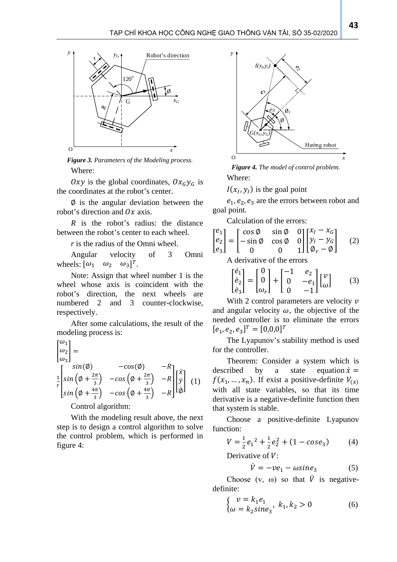

*Figure 3. Parameters of the Modeling process.* Where:

Oxy is the global coordinates,  $Ox_Gy_G$  is the coordinates at the robot's center.

∅ is the angular deviation between the robot's direction and  $Ox$  axis.

*R* is the robot's radius: the distance between the robot's center to each wheel.

*r* is the radius of the Omni wheel.

Angular velocity of 3 Omni wheels:  $[\omega_1 \quad \omega_2 \quad \omega_3]^T$ .

Note: Assign that wheel number 1 is the wheel whose axis is coincident with the robot's direction, the next wheels are numbered 2 and 3 counter-clockwise, respectively.

After some calculations, the result of the modeling process is: 1

$$
\begin{vmatrix}\n\omega_1 \\
\omega_2 \\
\omega_3\n\end{vmatrix} = \n\begin{vmatrix}\nsin(\phi) & -cos(\phi) & -R \\
\frac{1}{r}\left[\sin(\phi + \frac{2\pi}{3}) & -cos(\phi + \frac{2\pi}{3}) & -R \\
\sin(\phi + \frac{4\pi}{3}) & -cos(\phi + \frac{4\pi}{3}) & -R\n\end{vmatrix}\n\begin{vmatrix}\n\dot{x} \\
\dot{y} \\
\dot{\phi}\n\end{vmatrix} (1)
$$

Control algorithm:

With the modeling result above, the next step is to design a control algorithm to solve the control problem, which is performed in figure 4:



*Figure 4. The model of control problem.* Where:

 $I(x_l, y_l)$  is the goal point

 $e_1, e_2, e_3$  are the errors between robot and goal point.

Calculation of the errors:

$$
\begin{bmatrix} e_1 \\ e_2 \\ e_3 \end{bmatrix} = \begin{bmatrix} \cos \phi & \sin \phi & 0 \\ -\sin \phi & \cos \phi & 0 \\ 0 & 0 & 1 \end{bmatrix} \begin{bmatrix} x_I - x_G \\ y_I - y_G \\ \phi_r - \phi \end{bmatrix} \tag{2}
$$
\nA derivative of the errors

$$
\begin{bmatrix} \dot{e}_1 \\ \dot{e}_2 \\ \dot{e}_3 \end{bmatrix} = \begin{bmatrix} 0 \\ 0 \\ \omega_r \end{bmatrix} + \begin{bmatrix} -1 & e_2 \\ 0 & -e_1 \\ 0 & -1 \end{bmatrix} \begin{bmatrix} v \\ \omega \end{bmatrix}
$$
 (3)

With 2 control parameters are velocity  $\nu$ and angular velocity  $\omega$ , the objective of the needed controller is to eliminate the errors  $[e_1, e_2, e_3]^T = [0, 0, 0]^T$ 

The Lyapunov's stability method is used for the controller.

Theorem: Consider a system which is described by a state equation  $\dot{x} =$  $f(x_1, ..., x_n)$ . If exist a positive-definite  $V_{(x)}$ with all state variables, so that its time derivative is a negative-definite function then that system is stable.

Choose a positive-definite Lyapunov function:

$$
V = \frac{1}{2}e_1^2 + \frac{1}{2}e_2^2 + (1 - \cos e_3)
$$
 (4)

Derivative of  $V$ :

$$
\dot{V} = -ve_1 - \omega \sin e_3 \tag{5}
$$

Choose  $(v, \omega)$  so that  $\dot{V}$  is negativedefinite:

$$
\begin{cases} v = k_1 e_1 \\ \omega = k_2 \text{sine}_3 \end{cases}, k_1, k_2 > 0 \tag{6}
$$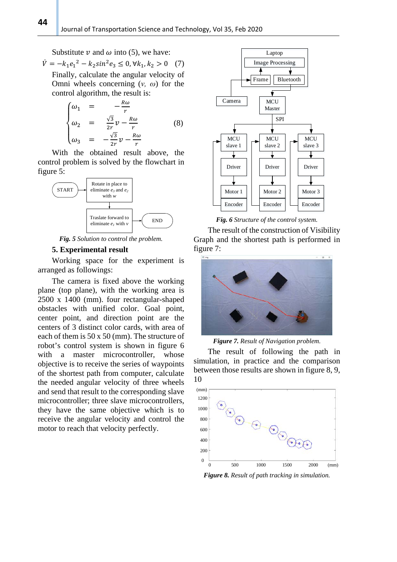Substitute  $\nu$  and  $\omega$  into (5), we have:

$$
\dot{V} = -k_1 e_1^2 - k_2 \sin^2 e_3 \le 0, \forall k_1, k_2 > 0 \quad (7)
$$
  
Finally, calculate the angular velocity of  
Omni wheels concerning  $(v, \omega)$  for the  
control algorithm, the result is:

$$
\begin{cases}\n\omega_1 = -\frac{R\omega}{r} \\
\omega_2 = \frac{\sqrt{3}}{2r}v - \frac{R\omega}{r} \\
\omega_3 = -\frac{\sqrt{3}}{2r}v - \frac{R\omega}{r}\n\end{cases} (8)
$$

With the obtained result above, the control problem is solved by the flowchart in figure 5:



*Fig. 5 Solution to control the problem.*

### **5. Experimental result**

Working space for the experiment is arranged as followings:

The camera is fixed above the working plane (top plane), with the working area is 2500 x 1400 (mm). four rectangular-shaped obstacles with unified color. Goal point, center point, and direction point are the centers of 3 distinct color cards, with area of each of them is 50 x 50 (mm). The structure of robot's control system is shown in figure 6 with a master microcontroller, whose objective is to receive the series of waypoints of the shortest path from computer, calculate the needed angular velocity of three wheels and send that result to the corresponding slave microcontroller; three slave microcontrollers, they have the same objective which is to receive the angular velocity and control the motor to reach that velocity perfectly.



*Fig. 6 Structure of the control system.*

The result of the construction of Visibility Graph and the shortest path is performed in figure 7:



*Figure 7. Result of Navigation problem.*

The result of following the path in simulation, in practice and the comparison between those results are shown in figure 8, 9, 10



*Figure 8. Result of path tracking in simulation.*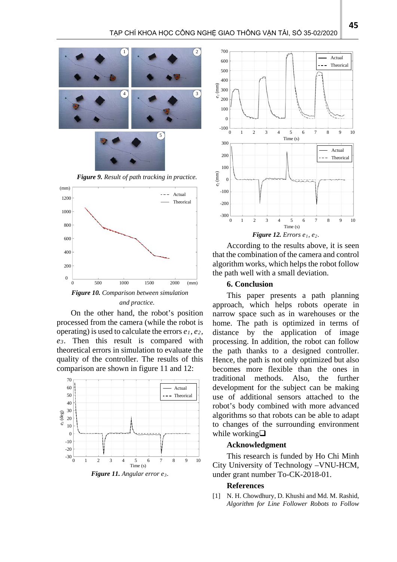

*Figure 9. Result of path tracking in practice.*



*and practice.*

On the other hand, the robot's position processed from the camera (while the robot is operating) is used to calculate the errors *e1, e2, e3*. Then this result is compared with theoretical errors in simulation to evaluate the quality of the controller. The results of this comparison are shown in figure 11 and 12:





According to the results above, it is seen that the combination of the camera and control algorithm works, which helps the robot follow the path well with a small deviation.

### **6. Conclusion**

This paper presents a path planning approach, which helps robots operate in narrow space such as in warehouses or the home. The path is optimized in terms of distance by the application of image processing. In addition, the robot can follow the path thanks to a designed controller. Hence, the path is not only optimized but also becomes more flexible than the ones in traditional methods. Also, the further development for the subject can be making use of additional sensors attached to the robot's body combined with more advanced algorithms so that robots can be able to adapt to changes of the surrounding environment while working $\square$ 

### **Acknowledgment**

This research is funded by Ho Chi Minh City University of Technology –VNU-HCM, under grant number To-CK-2018-01.

#### **References**

[1] N. H. Chowdhury, D. Khushi and Md. M. Rashid, *Algorithm for Line Follower Robots to Follow*